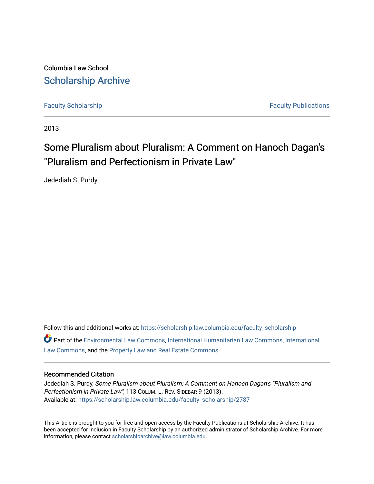Columbia Law School [Scholarship Archive](https://scholarship.law.columbia.edu/) 

[Faculty Scholarship](https://scholarship.law.columbia.edu/faculty_scholarship) **Faculty Scholarship Faculty Publications** 

2013

## Some Pluralism about Pluralism: A Comment on Hanoch Dagan's "Pluralism and Perfectionism in Private Law"

Jedediah S. Purdy

Follow this and additional works at: [https://scholarship.law.columbia.edu/faculty\\_scholarship](https://scholarship.law.columbia.edu/faculty_scholarship?utm_source=scholarship.law.columbia.edu%2Ffaculty_scholarship%2F2787&utm_medium=PDF&utm_campaign=PDFCoverPages)  $\bullet$  Part of the [Environmental Law Commons](http://network.bepress.com/hgg/discipline/599?utm_source=scholarship.law.columbia.edu%2Ffaculty_scholarship%2F2787&utm_medium=PDF&utm_campaign=PDFCoverPages), [International Humanitarian Law Commons,](http://network.bepress.com/hgg/discipline/1330?utm_source=scholarship.law.columbia.edu%2Ffaculty_scholarship%2F2787&utm_medium=PDF&utm_campaign=PDFCoverPages) [International](http://network.bepress.com/hgg/discipline/609?utm_source=scholarship.law.columbia.edu%2Ffaculty_scholarship%2F2787&utm_medium=PDF&utm_campaign=PDFCoverPages) [Law Commons,](http://network.bepress.com/hgg/discipline/609?utm_source=scholarship.law.columbia.edu%2Ffaculty_scholarship%2F2787&utm_medium=PDF&utm_campaign=PDFCoverPages) and the [Property Law and Real Estate Commons](http://network.bepress.com/hgg/discipline/897?utm_source=scholarship.law.columbia.edu%2Ffaculty_scholarship%2F2787&utm_medium=PDF&utm_campaign=PDFCoverPages) 

#### Recommended Citation

Jedediah S. Purdy, Some Pluralism about Pluralism: A Comment on Hanoch Dagan's "Pluralism and Perfectionism in Private Law", 113 COLUM. L. REV. SIDEBAR 9 (2013). Available at: [https://scholarship.law.columbia.edu/faculty\\_scholarship/2787](https://scholarship.law.columbia.edu/faculty_scholarship/2787?utm_source=scholarship.law.columbia.edu%2Ffaculty_scholarship%2F2787&utm_medium=PDF&utm_campaign=PDFCoverPages)

This Article is brought to you for free and open access by the Faculty Publications at Scholarship Archive. It has been accepted for inclusion in Faculty Scholarship by an authorized administrator of Scholarship Archive. For more information, please contact [scholarshiparchive@law.columbia.edu.](mailto:scholarshiparchive@law.columbia.edu)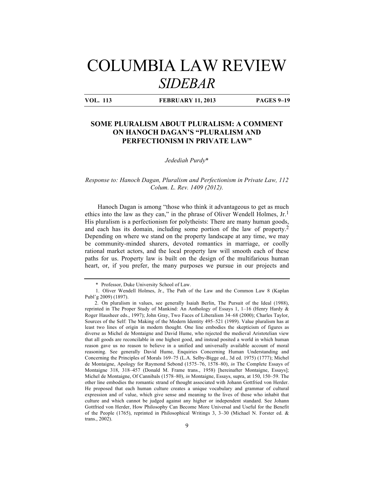# COLUMBIA LAW REVIEW *SIDEBAR*

**VOL. 113 FEBRUARY 11, 2013 PAGES 9–19**

### **SOME PLURALISM ABOUT PLURALISM: A COMMENT ON HANOCH DAGAN'S "PLURALISM AND PERFECTIONISM IN PRIVATE LAW"**

#### *Jedediah Purdy*\*

#### *Response to: Hanoch Dagan, Pluralism and Perfectionism in Private Law, 112 Colum. L. Rev. 1409 (2012).*

Hanoch Dagan is among "those who think it advantageous to get as much ethics into the law as they can," in the phrase of Oliver Wendell Holmes,  $Jr<sub>1</sub>$ <sup>1</sup> His pluralism is a perfectionism for polytheists: There are many human goods, and each has its domain, including some portion of the law of property.2 Depending on where we stand on the property landscape at any time, we may be community-minded sharers, devoted romantics in marriage, or coolly rational market actors, and the local property law will smooth each of these paths for us. Property law is built on the design of the multifarious human heart, or, if you prefer, the many purposes we pursue in our projects and

<sup>\*</sup> Professor, Duke University School of Law.

<sup>1.</sup> Oliver Wendell Holmes, Jr., The Path of the Law and the Common Law 8 (Kaplan Publ'g 2009) (1897).

<sup>2.</sup> On pluralism in values, see generally Isaiah Berlin, The Pursuit of the Ideal (1988), reprinted in The Proper Study of Mankind: An Anthology of Essays 1, 1–16 (Henry Hardy & Roger Hausheer eds., 1997); John Gray, Two Faces of Liberalism 34–68 (2000); Charles Taylor, Sources of the Self: The Making of the Modern Identity 495–521 (1989). Value pluralism has at least two lines of origin in modern thought. One line embodies the skepticism of figures as diverse as Michel de Montaigne and David Hume, who rejected the medieval Aristotelian view that all goods are reconcilable in one highest good, and instead posited a world in which human reason gave us no reason to believe in a unified and universally available account of moral reasoning. See generally David Hume, Enquiries Concerning Human Understanding and Concerning the Principles of Morals 169–75 (L.A. Selby-Bigge ed., 3d ed. 1975) (1777); Michel de Montaigne, Apology for Raymond Sebond (1575–76, 1578–80), *in* The Complete Essays of Montaigne 318, 318–457 (Donald M. Frame trans., 1958) [hereinafter Montaigne, Essays]; Michel de Montaigne, Of Cannibals (1578–80), *in* Montaigne, Essays, supra, at 150, 150–59. The other line embodies the romantic strand of thought associated with Johann Gottfried von Herder. He proposed that each human culture creates a unique vocabulary and grammar of cultural expression and of value, which give sense and meaning to the lives of those who inhabit that culture and which cannot be judged against any higher or independent standard. See Johann Gottfried von Herder, How Philosophy Can Become More Universal and Useful for the Benefit of the People (1765), reprinted in Philosophical Writings 3, 3–30 (Michael N. Forster ed. & trans., 2002).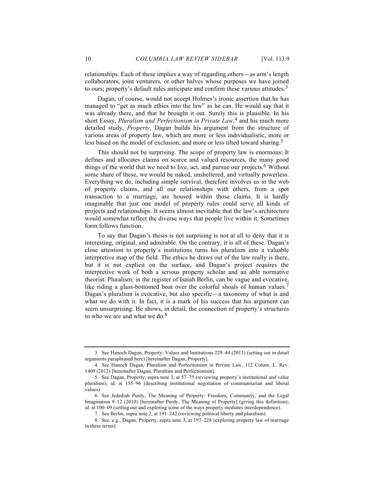relationships. Each of these implies a way of regarding others—as arm's length collaborators, joint venturers, or other halves whose purposes we have joined to ours; property's default rules anticipate and confirm these various attitudes.<sup>3</sup>

Dagan, of course, would not accept Holmes's ironic assertion that he has managed to "get as much ethics into the law" as he can. He would say that it was already there, and that he brought it out. Surely this is plausible. In his short Essay, *Pluralism and Perfectionism in Private Law*, 4 and his much more detailed study, *Property*, Dagan builds his argument from the structure of various areas of property law, which are more or less individualistic, more or less based on the model of exclusion, and more or less tilted toward sharing.<sup>5</sup>

This should not be surprising. The scope of property law is enormous: It defines and allocates claims on scarce and valued resources, the many good things of the world that we need to live, act, and pursue our projects.<sup>6</sup> Without some share of these, we would be naked, unsheltered, and virtually powerless. Everything we do, including simple survival, therefore involves us in the web of property claims, and all our relationships with others, from a spot transaction to a marriage, are housed within those claims. It is hardly imaginable that just one model of property rules could serve all kinds of projects and relationships. It seems almost inevitable that the law's architecture would somewhat reflect the diverse ways that people live within it. Sometimes form follows function.

To say that Dagan's thesis is not surprising is not at all to deny that it is interesting, original, and admirable. On the contrary, it is all of these. Dagan's close attention to property's institutions turns his pluralism into a valuable interpretive map of the field. The ethics he draws out of the law really is there, but it is not explicit on the surface, and Dagan's project requires the interpretive work of both a serious property scholar and an able normative theorist. Pluralism, in the register of Isaiah Berlin, can be vague and evocative, like riding a glass-bottomed boat over the colorful shoals of human values.<sup>7</sup> Dagan's pluralism is evocative, but also specific—a taxonomy of what is and what we do with it. In fact, it is a mark of his success that his argument can seem unsurprising. He shows, in detail, the connection of property's structures to who we are and what we do.<sup>8</sup>

<sup>3.</sup> See Hanoch Dagan, Property: Values and Institutions 229–44 (2011) (setting out in detail arguments paraphrased here) [hereinafter Dagan, Property].

<sup>4.</sup> See Hanoch Dagan, Pluralism and Perfectionism in Private Law, 112 Colum. L. Rev. 1409 (2012) [hereinafter Dagan, Pluralism and Perfectionism].

<sup>5.</sup> See Dagan, Property, supra note 3, at 57–75 (reviewing property's institutional and value pluralism); id. at 155–96 (describing institutional negotiation of communitarian and liberal values).

<sup>6.</sup> See Jedediah Purdy, The Meaning of Property: Freedom, Community, and the Legal Imagination 9–12 (2010) [hereinafter Purdy, The Meaning of Property] (giving this definition); id. at 100–09 (setting out and exploring some of the ways property mediates interdependence).

<sup>7.</sup> See Berlin, supra note 2, at 191–242 (reviewing political liberty and pluralism).

<sup>8.</sup> See, e.g., Dagan, Property, supra note 3, at 197–228 (exploring property law of marriage in these terms).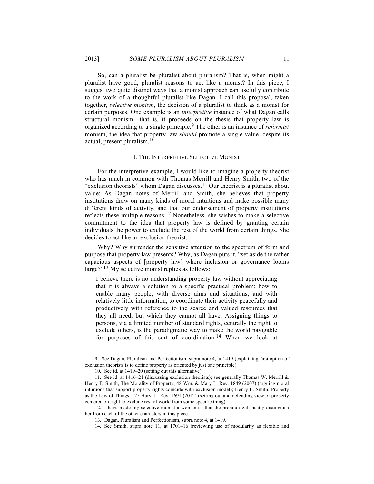So, can a pluralist be pluralist about pluralism? That is, when might a pluralist have good, pluralist reasons to act like a monist? In this piece, I suggest two quite distinct ways that a monist approach can usefully contribute to the work of a thoughtful pluralist like Dagan. I call this proposal, taken together, *selective monism*, the decision of a pluralist to think as a monist for certain purposes. One example is an *interpretive* instance of what Dagan calls structural monism—that is, it proceeds on the thesis that property law is organized according to a single principle.9 The other is an instance of *reformist* monism, the idea that property law *should* promote a single value, despite its actual, present pluralism.10

#### I. THE INTERPRETIVE SELECTIVE MONIST

For the interpretive example, I would like to imagine a property theorist who has much in common with Thomas Merrill and Henry Smith, two of the "exclusion theorists" whom Dagan discusses.<sup>11</sup> Our theorist is a pluralist about value: As Dagan notes of Merrill and Smith, she believes that property institutions draw on many kinds of moral intuitions and make possible many different kinds of activity, and that our endorsement of property institutions reflects these multiple reasons.<sup>12</sup> Nonetheless, she wishes to make a selective commitment to the idea that property law is defined by granting certain individuals the power to exclude the rest of the world from certain things. She decides to act like an exclusion theorist.

Why? Why surrender the sensitive attention to the spectrum of form and purpose that property law presents? Why, as Dagan puts it, "set aside the rather capacious aspects of [property law] where inclusion or governance looms large?"13 My selective monist replies as follows:

I believe there is no understanding property law without appreciating that it is always a solution to a specific practical problem: how to enable many people, with diverse aims and situations, and with relatively little information, to coordinate their activity peacefully and productively with reference to the scarce and valued resources that they all need, but which they cannot all have. Assigning things to persons, via a limited number of standard rights, centrally the right to exclude others, is the paradigmatic way to make the world navigable for purposes of this sort of coordination.<sup>14</sup> When we look at

<sup>9.</sup> See Dagan, Pluralism and Perfectionism, supra note 4, at 1419 (explaining first option of exclusion theorists is to define property as oriented by just one principle).

<sup>10.</sup> See id. at 1419–20 (setting out this alternative).

<sup>11.</sup> See id. at 1416–21 (discussing exclusion theorists); see generally Thomas W. Merrill & Henry E. Smith, The Morality of Property, 48 Wm. & Mary L. Rev. 1849 (2007) (arguing moral intuitions that support property rights coincide with exclusion model); Henry E. Smith, Property as the Law of Things, 125 Harv. L. Rev. 1691 (2012) (setting out and defending view of property centered on right to exclude rest of world from some specific thing).

<sup>12.</sup> I have made my selective monist a woman so that the pronoun will neatly distinguish her from each of the other characters in this piece.

<sup>13.</sup> Dagan, Pluralism and Perfectionism, supra note 4, at 1419.

<sup>14.</sup> See Smith, supra note 11, at 1701–16 (reviewing use of modularity as flexible and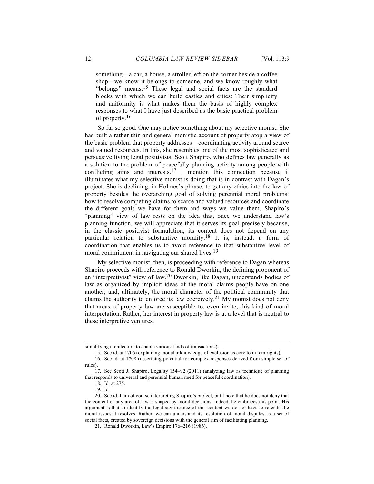something—a car, a house, a stroller left on the corner beside a coffee shop—we know it belongs to someone, and we know roughly what "belongs" means.15 These legal and social facts are the standard blocks with which we can build castles and cities: Their simplicity and uniformity is what makes them the basis of highly complex responses to what I have just described as the basic practical problem of property.<sup>16</sup>

So far so good. One may notice something about my selective monist. She has built a rather thin and general monistic account of property atop a view of the basic problem that property addresses—coordinating activity around scarce and valued resources. In this, she resembles one of the most sophisticated and persuasive living legal positivists, Scott Shapiro, who defines law generally as a solution to the problem of peacefully planning activity among people with conflicting aims and interests.17 I mention this connection because it illuminates what my selective monist is doing that is in contrast with Dagan's project. She is declining, in Holmes's phrase, to get any ethics into the law of property besides the overarching goal of solving perennial moral problems: how to resolve competing claims to scarce and valued resources and coordinate the different goals we have for them and ways we value them. Shapiro's "planning" view of law rests on the idea that, once we understand law's planning function, we will appreciate that it serves its goal precisely because, in the classic positivist formulation, its content does not depend on any particular relation to substantive morality.<sup>18</sup> It is, instead, a form of coordination that enables us to avoid reference to that substantive level of moral commitment in navigating our shared lives.<sup>19</sup>

My selective monist, then, is proceeding with reference to Dagan whereas Shapiro proceeds with reference to Ronald Dworkin, the defining proponent of an "interpretivist" view of law.20 Dworkin, like Dagan, understands bodies of law as organized by implicit ideas of the moral claims people have on one another, and, ultimately, the moral character of the political community that claims the authority to enforce its law coercively.<sup>21</sup> My monist does not deny that areas of property law are susceptible to, even invite, this kind of moral interpretation. Rather, her interest in property law is at a level that is neutral to these interpretive ventures.

simplifying architecture to enable various kinds of transactions).

<sup>15.</sup> See id. at 1706 (explaining modular knowledge of exclusion as core to in rem rights).

<sup>16.</sup> See id. at 1708 (describing potential for complex responses derived from simple set of rules).

<sup>17.</sup> See Scott J. Shapiro, Legality 154–92 (2011) (analyzing law as technique of planning that responds to universal and perennial human need for peaceful coordination).

<sup>18.</sup> Id. at 275.

<sup>19.</sup> Id.

<sup>20.</sup> See id. I am of course interpreting Shapiro's project, but I note that he does not deny that the content of any area of law is shaped by moral decisions. Indeed, he embraces this point. His argument is that to identify the legal significance of this content we do not have to refer to the moral issues it resolves. Rather, we can understand its resolution of moral disputes as a set of social facts, created by sovereign decisions with the general aim of facilitating planning.

<sup>21.</sup> Ronald Dworkin, Law's Empire 176–216 (1986).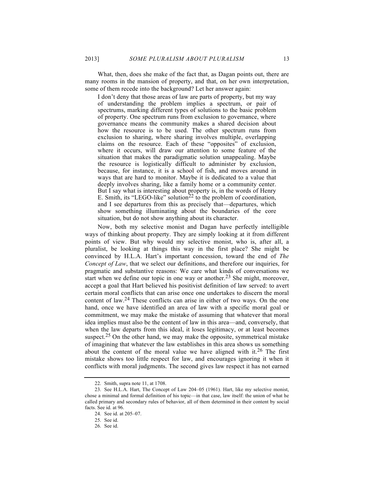What, then, does she make of the fact that, as Dagan points out, there are many rooms in the mansion of property, and that, on her own interpretation, some of them recede into the background? Let her answer again:

I don't deny that those areas of law are parts of property, but my way of understanding the problem implies a spectrum, or pair of spectrums, marking different types of solutions to the basic problem of property. One spectrum runs from exclusion to governance, where governance means the community makes a shared decision about how the resource is to be used. The other spectrum runs from exclusion to sharing, where sharing involves multiple, overlapping claims on the resource. Each of these "opposites" of exclusion, where it occurs, will draw our attention to some feature of the situation that makes the paradigmatic solution unappealing. Maybe the resource is logistically difficult to administer by exclusion, because, for instance, it is a school of fish, and moves around in ways that are hard to monitor. Maybe it is dedicated to a value that deeply involves sharing, like a family home or a community center. But I say what is interesting about property is, in the words of Henry E. Smith, its "LEGO-like" solution<sup>22</sup> to the problem of coordination, and I see departures from this as precisely that—departures, which show something illuminating about the boundaries of the core situation, but do not show anything about its character.

Now, both my selective monist and Dagan have perfectly intelligible ways of thinking about property. They are simply looking at it from different points of view. But why would my selective monist, who is, after all, a pluralist, be looking at things this way in the first place? She might be convinced by H.L.A. Hart's important concession, toward the end of *The Concept of Law*, that we select our definitions, and therefore our inquiries, for pragmatic and substantive reasons: We care what kinds of conversations we start when we define our topic in one way or another.<sup>23</sup> She might, moreover, accept a goal that Hart believed his positivist definition of law served: to avert certain moral conflicts that can arise once one undertakes to discern the moral content of law.24 These conflicts can arise in either of two ways. On the one hand, once we have identified an area of law with a specific moral goal or commitment, we may make the mistake of assuming that whatever that moral idea implies must also be the content of law in this area—and, conversely, that when the law departs from this ideal, it loses legitimacy, or at least becomes suspect.<sup>25</sup> On the other hand, we may make the opposite, symmetrical mistake of imagining that whatever the law establishes in this area shows us something about the content of the moral value we have aligned with it.<sup>26</sup> The first mistake shows too little respect for law, and encourages ignoring it when it conflicts with moral judgments. The second gives law respect it has not earned

<sup>22.</sup> Smith, supra note 11, at 1708.

<sup>23.</sup> See H.L.A. Hart, The Concept of Law 204–05 (1961). Hart, like my selective monist, chose a minimal and formal definition of his topic—in that case, law itself: the union of what he called primary and secondary rules of behavior, all of them determined in their content by social facts. See id. at 96.

<sup>24.</sup> See id. at 205–07.

<sup>25.</sup> See id.

<sup>26.</sup> See id.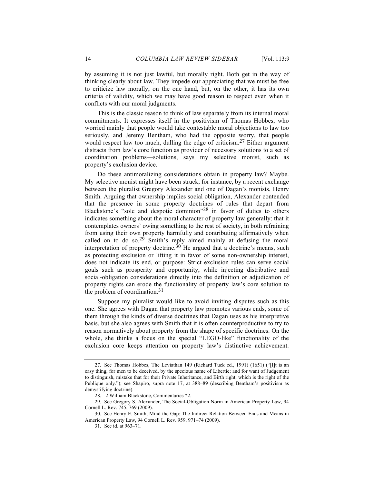by assuming it is not just lawful, but morally right. Both get in the way of thinking clearly about law. They impede our appreciating that we must be free to criticize law morally, on the one hand, but, on the other, it has its own criteria of validity, which we may have good reason to respect even when it conflicts with our moral judgments.

This is the classic reason to think of law separately from its internal moral commitments. It expresses itself in the positivism of Thomas Hobbes, who worried mainly that people would take contestable moral objections to law too seriously, and Jeremy Bentham, who had the opposite worry, that people would respect law too much, dulling the edge of criticism.<sup>27</sup> Either argument distracts from law's core function as provider of necessary solutions to a set of coordination problems—solutions, says my selective monist, such as property's exclusion device.

Do these antimoralizing considerations obtain in property law? Maybe. My selective monist might have been struck, for instance, by a recent exchange between the pluralist Gregory Alexander and one of Dagan's monists, Henry Smith. Arguing that ownership implies social obligation, Alexander contended that the presence in some property doctrines of rules that depart from Blackstone's "sole and despotic dominion"28 in favor of duties to others indicates something about the moral character of property law generally: that it contemplates owners' owing something to the rest of society, in both refraining from using their own property harmfully and contributing affirmatively when called on to do so.<sup>29</sup> Smith's reply aimed mainly at defusing the moral interpretation of property doctrine.<sup>30</sup> He argued that a doctrine's means, such as protecting exclusion or lifting it in favor of some non-ownership interest, does not indicate its end, or purpose: Strict exclusion rules can serve social goals such as prosperity and opportunity, while injecting distributive and social-obligation considerations directly into the definition or adjudication of property rights can erode the functionality of property law's core solution to the problem of coordination.31

Suppose my pluralist would like to avoid inviting disputes such as this one. She agrees with Dagan that property law promotes various ends, some of them through the kinds of diverse doctrines that Dagan uses as his interpretive basis, but she also agrees with Smith that it is often counterproductive to try to reason normatively about property from the shape of specific doctrines. On the whole, she thinks a focus on the special "LEGO-like" functionality of the exclusion core keeps attention on property law's distinctive achievement.

<sup>27.</sup> See Thomas Hobbes, The Leviathan 149 (Richard Tuck ed., 1991) (1651) ("[I]t is an easy thing, for men to be deceived, by the specious name of Libertie; and for want of Judgement to distinguish, mistake that for their Private Inheritance, and Birth right, which is the right of the Publique only."); see Shapiro, supra note 17, at 388–89 (describing Bentham's positivism as demystifying doctrine).

<sup>28. 2</sup> William Blackstone, Commentaries \*2.

<sup>29.</sup> See Gregory S. Alexander, The Social-Obligation Norm in American Property Law, 94 Cornell L. Rev. 745, 769 (2009).

<sup>30.</sup> See Henry E. Smith, Mind the Gap: The Indirect Relation Between Ends and Means in American Property Law, 94 Cornell L. Rev. 959, 971–74 (2009).

<sup>31.</sup> See id. at 963–71.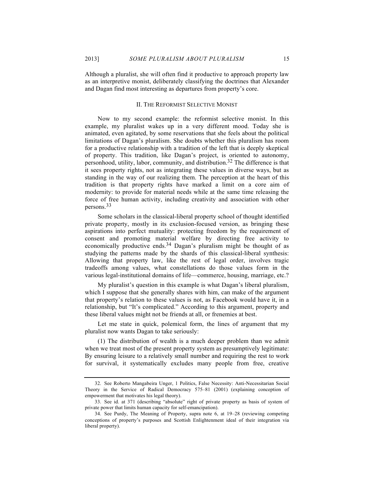Although a pluralist, she will often find it productive to approach property law as an interpretive monist, deliberately classifying the doctrines that Alexander and Dagan find most interesting as departures from property's core.

#### II. THE REFORMIST SELECTIVE MONIST

Now to my second example: the reformist selective monist. In this example, my pluralist wakes up in a very different mood. Today she is animated, even agitated, by some reservations that she feels about the political limitations of Dagan's pluralism. She doubts whether this pluralism has room for a productive relationship with a tradition of the left that is deeply skeptical of property. This tradition, like Dagan's project, is oriented to autonomy, personhood, utility, labor, community, and distribution.32 The difference is that it sees property rights, not as integrating these values in diverse ways, but as standing in the way of our realizing them. The perception at the heart of this tradition is that property rights have marked a limit on a core aim of modernity: to provide for material needs while at the same time releasing the force of free human activity, including creativity and association with other persons.33

Some scholars in the classical-liberal property school of thought identified private property, mostly in its exclusion-focused version, as bringing these aspirations into perfect mutuality: protecting freedom by the requirement of consent and promoting material welfare by directing free activity to economically productive ends.34 Dagan's pluralism might be thought of as studying the patterns made by the shards of this classical-liberal synthesis: Allowing that property law, like the rest of legal order, involves tragic tradeoffs among values, what constellations do those values form in the various legal-institutional domains of life—commerce, housing, marriage, etc.?

My pluralist's question in this example is what Dagan's liberal pluralism, which I suppose that she generally shares with him, can make of the argument that property's relation to these values is not, as Facebook would have it, in a relationship, but "It's complicated." According to this argument, property and these liberal values might not be friends at all, or frenemies at best.

Let me state in quick, polemical form, the lines of argument that my pluralist now wants Dagan to take seriously:

(1) The distribution of wealth is a much deeper problem than we admit when we treat most of the present property system as presumptively legitimate: By ensuring leisure to a relatively small number and requiring the rest to work for survival, it systematically excludes many people from free, creative

<sup>32.</sup> See Roberto Mangabeira Unger, 1 Politics, False Necessity: Anti-Necessitarian Social Theory in the Service of Radical Democracy 575–81 (2001) (explaining conception of empowerment that motivates his legal theory).

<sup>33.</sup> See id. at 371 (describing "absolute" right of private property as basis of system of private power that limits human capacity for self-emancipation).

<sup>34.</sup> See Purdy, The Meaning of Property, supra note 6, at 19–28 (reviewing competing conceptions of property's purposes and Scottish Enlightenment ideal of their integration via liberal property).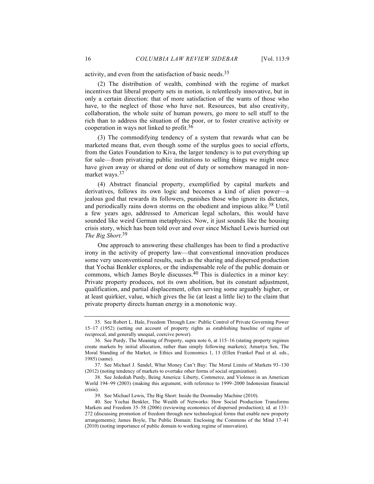activity, and even from the satisfaction of basic needs.35

(2) The distribution of wealth, combined with the regime of market incentives that liberal property sets in motion, is relentlessly innovative, but in only a certain direction: that of more satisfaction of the wants of those who have, to the neglect of those who have not. Resources, but also creativity, collaboration, the whole suite of human powers, go more to sell stuff to the rich than to address the situation of the poor, or to foster creative activity or cooperation in ways not linked to profit.36

(3) The commodifying tendency of a system that rewards what can be marketed means that, even though some of the surplus goes to social efforts, from the Gates Foundation to Kiva, the larger tendency is to put everything up for sale—from privatizing public institutions to selling things we might once have given away or shared or done out of duty or somehow managed in nonmarket ways.<sup>37</sup>

(4) Abstract financial property, exemplified by capital markets and derivatives, follows its own logic and becomes a kind of alien power—a jealous god that rewards its followers, punishes those who ignore its dictates, and periodically rains down storms on the obedient and impious alike.<sup>38</sup> Until a few years ago, addressed to American legal scholars, this would have sounded like weird German metaphysics. Now, it just sounds like the housing crisis story, which has been told over and over since Michael Lewis hurried out *The Big Short*. 39

One approach to answering these challenges has been to find a productive irony in the activity of property law—that conventional innovation produces some very unconventional results, such as the sharing and dispersed production that Yochai Benkler explores, or the indispensable role of the public domain or commons, which James Boyle discusses.<sup>40</sup> This is dialectics in a minor key: Private property produces, not its own abolition, but its constant adjustment, qualification, and partial displacement, often serving some arguably higher, or at least quirkier, value, which gives the lie (at least a little lie) to the claim that private property directs human energy in a monotonic way.

<sup>35.</sup> See Robert L. Hale, Freedom Through Law: Public Control of Private Governing Power 15–17 (1952) (setting out account of property rights as establishing baseline of regime of reciprocal, and generally unequal, coercive power).

<sup>36.</sup> See Purdy, The Meaning of Property, supra note 6, at 115–16 (stating property regimes create markets by initial allocation, rather than simply following markets); Amartya Sen, The Moral Standing of the Market, *in* Ethics and Economics 1, 13 (Ellen Frankel Paul et al. eds., 1985) (same).

<sup>37.</sup> See Michael J. Sandel, What Money Can't Buy: The Moral Limits of Markets 93–130 (2012) (noting tendency of markets to overtake other forms of social organization).

<sup>38.</sup> See Jedediah Purdy, Being America: Liberty, Commerce, and Violence in an American World 194–99 (2003) (making this argument, with reference to 1999–2000 Indonesian financial crisis).

<sup>39.</sup> See Michael Lewis, The Big Short: Inside the Doomsday Machine (2010).

<sup>40.</sup> See Yochai Benkler, The Wealth of Networks: How Social Production Transforms Markets and Freedom 35–58 (2006) (reviewing economics of dispersed production); id. at 133– 272 (discussing promotion of freedom through new technological forms that enable new property arrangements); James Boyle, The Public Domain: Enclosing the Commons of the Mind 17–41 (2010) (noting importance of public domain to working regime of innovation).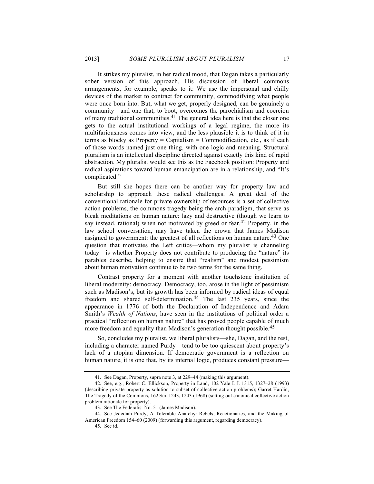It strikes my pluralist, in her radical mood, that Dagan takes a particularly sober version of this approach. His discussion of liberal commons arrangements, for example, speaks to it: We use the impersonal and chilly devices of the market to contract for community, commodifying what people were once born into. But, what we get, properly designed, can be genuinely a community—and one that, to boot, overcomes the parochialism and coercion of many traditional communities.41 The general idea here is that the closer one gets to the actual institutional workings of a legal regime, the more its multifariousness comes into view, and the less plausible it is to think of it in terms as blocky as Property  $=$  Capitalism  $=$  Commodification, etc., as if each of those words named just one thing, with one logic and meaning. Structural pluralism is an intellectual discipline directed against exactly this kind of rapid abstraction. My pluralist would see this as the Facebook position: Property and radical aspirations toward human emancipation are in a relationship, and "It's complicated."

But still she hopes there can be another way for property law and scholarship to approach these radical challenges. A great deal of the conventional rationale for private ownership of resources is a set of collective action problems, the commons tragedy being the arch-paradigm, that serve as bleak meditations on human nature: lazy and destructive (though we learn to say instead, rational) when not motivated by greed or fear.<sup>42</sup> Property, in the law school conversation, may have taken the crown that James Madison assigned to government: the greatest of all reflections on human nature.<sup>43</sup> One question that motivates the Left critics—whom my pluralist is channeling today—is whether Property does not contribute to producing the "nature" its parables describe, helping to ensure that "realism" and modest pessimism about human motivation continue to be two terms for the same thing.

Contrast property for a moment with another touchstone institution of liberal modernity: democracy. Democracy, too, arose in the light of pessimism such as Madison's, but its growth has been informed by radical ideas of equal freedom and shared self-determination.<sup>44</sup> The last 235 years, since the appearance in 1776 of both the Declaration of Independence and Adam Smith's *Wealth of Nations*, have seen in the institutions of political order a practical "reflection on human nature" that has proved people capable of much more freedom and equality than Madison's generation thought possible.<sup>45</sup>

So, concludes my pluralist, we liberal pluralists—she, Dagan, and the rest, including a character named Purdy—tend to be too quiescent about property's lack of a utopian dimension. If democratic government is a reflection on human nature, it is one that, by its internal logic, produces constant pressure-

<sup>41.</sup> See Dagan, Property, supra note 3, at 229–44 (making this argument).

<sup>42.</sup> See, e.g., Robert C. Ellickson, Property in Land, 102 Yale L.J. 1315, 1327–28 (1993) (describing private property as solution to subset of collective action problems); Garret Hardin, The Tragedy of the Commons, 162 Sci. 1243, 1243 (1968) (setting out canonical collective action problem rationale for property).

<sup>43.</sup> See The Federalist No. 51 (James Madison).

<sup>44.</sup> See Jedediah Purdy, A Tolerable Anarchy: Rebels, Reactionaries, and the Making of American Freedom 154–60 (2009) (forwarding this argument, regarding democracy).

<sup>45.</sup> See id.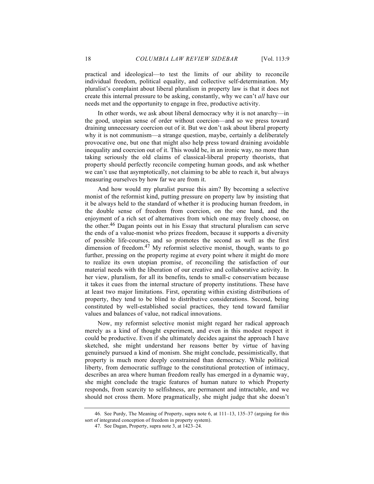practical and ideological—to test the limits of our ability to reconcile individual freedom, political equality, and collective self-determination. My pluralist's complaint about liberal pluralism in property law is that it does not create this internal pressure to be asking, constantly, why we can't *all* have our needs met and the opportunity to engage in free, productive activity.

In other words, we ask about liberal democracy why it is not anarchy—in the good, utopian sense of order without coercion—and so we press toward draining unnecessary coercion out of it. But we don't ask about liberal property why it is not communism—a strange question, maybe, certainly a deliberately provocative one, but one that might also help press toward draining avoidable inequality and coercion out of it. This would be, in an ironic way, no more than taking seriously the old claims of classical-liberal property theorists, that property should perfectly reconcile competing human goods, and ask whether we can't use that asymptotically, not claiming to be able to reach it, but always measuring ourselves by how far we are from it.

And how would my pluralist pursue this aim? By becoming a selective monist of the reformist kind, putting pressure on property law by insisting that it be always held to the standard of whether it is producing human freedom, in the double sense of freedom from coercion, on the one hand, and the enjoyment of a rich set of alternatives from which one may freely choose, on the other.46 Dagan points out in his Essay that structural pluralism can serve the ends of a value-monist who prizes freedom, because it supports a diversity of possible life-courses, and so promotes the second as well as the first dimension of freedom.<sup>47</sup> My reformist selective monist, though, wants to go further, pressing on the property regime at every point where it might do more to realize its own utopian promise, of reconciling the satisfaction of our material needs with the liberation of our creative and collaborative activity. In her view, pluralism, for all its benefits, tends to small-c conservatism because it takes it cues from the internal structure of property institutions. These have at least two major limitations. First, operating within existing distributions of property, they tend to be blind to distributive considerations. Second, being constituted by well-established social practices, they tend toward familiar values and balances of value, not radical innovations.

Now, my reformist selective monist might regard her radical approach merely as a kind of thought experiment, and even in this modest respect it could be productive. Even if she ultimately decides against the approach I have sketched, she might understand her reasons better by virtue of having genuinely pursued a kind of monism. She might conclude, pessimistically, that property is much more deeply constrained than democracy. While political liberty, from democratic suffrage to the constitutional protection of intimacy, describes an area where human freedom really has emerged in a dynamic way, she might conclude the tragic features of human nature to which Property responds, from scarcity to selfishness, are permanent and intractable, and we should not cross them. More pragmatically, she might judge that she doesn't

<sup>46.</sup> See Purdy, The Meaning of Property, supra note 6, at 111–13, 135–37 (arguing for this sort of integrated conception of freedom in property system).

<sup>47.</sup> See Dagan, Property, supra note 3, at 1423–24.